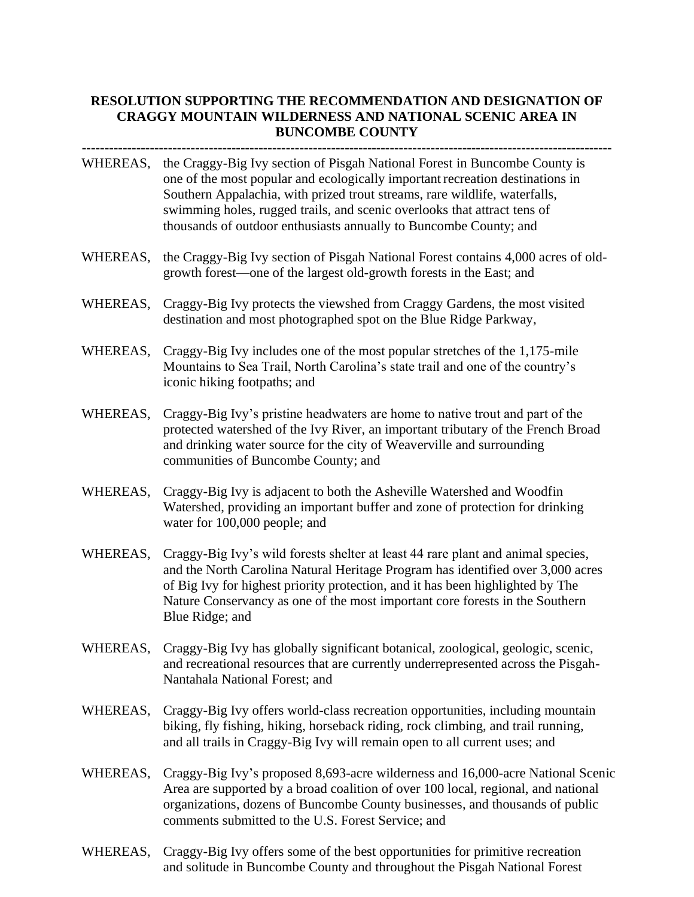## **RESOLUTION SUPPORTING THE RECOMMENDATION AND DESIGNATION OF CRAGGY MOUNTAIN WILDERNESS AND NATIONAL SCENIC AREA IN BUNCOMBE COUNTY**

**---------------------------------------------------------------------------------------------------------------------**

- WHEREAS, the Craggy-Big Ivy section of Pisgah National Forest in Buncombe County is one of the most popular and ecologically importantrecreation destinations in Southern Appalachia, with prized trout streams, rare wildlife, waterfalls, swimming holes, rugged trails, and scenic overlooks that attract tens of thousands of outdoor enthusiasts annually to Buncombe County; and
- WHEREAS, the Craggy-Big Ivy section of Pisgah National Forest contains 4,000 acres of oldgrowth forest—one of the largest old-growth forests in the East; and
- WHEREAS, Craggy-Big Ivy protects the viewshed from Craggy Gardens, the most visited destination and most photographed spot on the Blue Ridge Parkway,
- WHEREAS, Craggy-Big Ivy includes one of the most popular stretches of the 1,175-mile Mountains to Sea Trail, North Carolina's state trail and one of the country's iconic hiking footpaths; and
- WHEREAS, Craggy-Big Ivy's pristine headwaters are home to native trout and part of the protected watershed of the Ivy River, an important tributary of the French Broad and drinking water source for the city of Weaverville and surrounding communities of Buncombe County; and
- WHEREAS, Craggy-Big Ivy is adjacent to both the Asheville Watershed and Woodfin Watershed, providing an important buffer and zone of protection for drinking water for 100,000 people; and
- WHEREAS, Craggy-Big Ivy's wild forests shelter at least 44 rare plant and animal species, and the North Carolina Natural Heritage Program has identified over 3,000 acres of Big Ivy for highest priority protection, and it has been highlighted by The Nature Conservancy as one of the most important core forests in the Southern Blue Ridge; and
- WHEREAS, Craggy-Big Ivy has globally significant botanical, zoological, geologic, scenic, and recreational resources that are currently underrepresented across the Pisgah-Nantahala National Forest; and
- WHEREAS, Craggy-Big Ivy offers world-class recreation opportunities, including mountain biking, fly fishing, hiking, horseback riding, rock climbing, and trail running, and all trails in Craggy-Big Ivy will remain open to all current uses; and
- WHEREAS, Craggy-Big Ivy's proposed 8,693-acre wilderness and 16,000-acre National Scenic Area are supported by a broad coalition of over 100 local, regional, and national organizations, dozens of Buncombe County businesses, and thousands of public comments submitted to the U.S. Forest Service; and
- WHEREAS, Craggy-Big Ivy offers some of the best opportunities for primitive recreation and solitude in Buncombe County and throughout the Pisgah National Forest